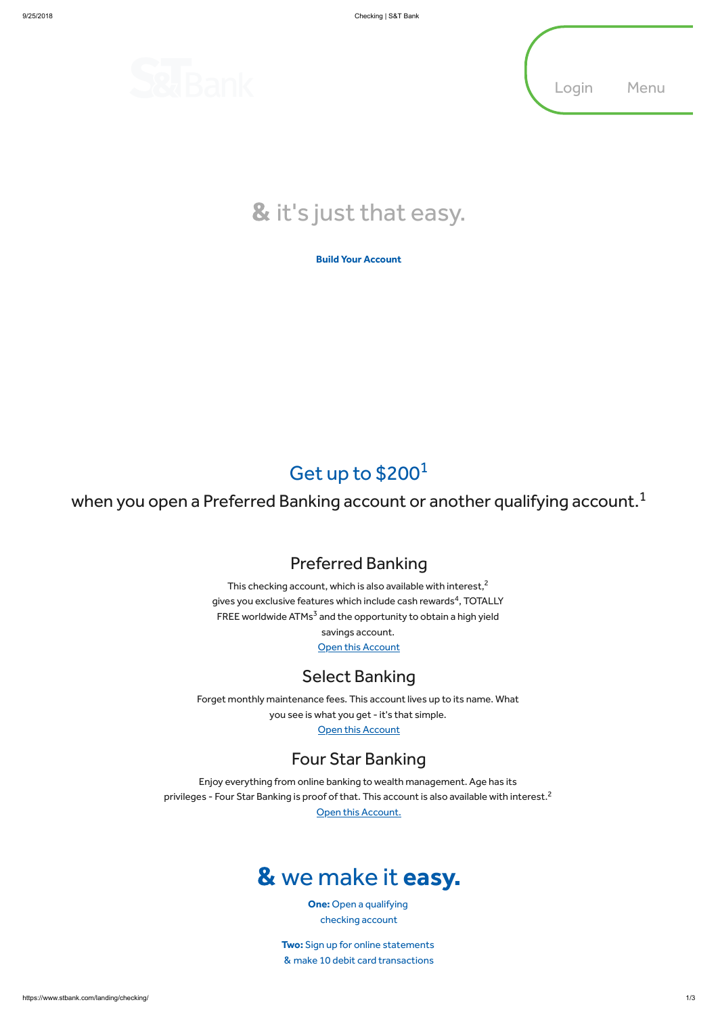

### Preferred Banking

This checking account, which is also available with interest, $^2$ gives you exclusive features which include cash rewards $\rm ^4$ , TOTALLY FREE worldwide  $ATMs^3$  and the opportunity to obtain a high yield savings account.

**Open this [Account](https://www.stbank.com/personal/personal-checking/preferred-banking)** 

Forget monthly maintenance fees. This account lives up to its name. What you see is what you get - it's that simple.

**Open this [Account](https://www.stbank.com/personal/personal-checking/select-banking)** 

Enjoy everything from online banking to wealth management. Age has its privileges - Four Star Banking is proof of that. This account is also available with interest. $^{\mathsf{2}}$ 

Open this [Account.](https://www.stbank.com/personal/personal-checking/four-star-banking)

### Select Banking

### Four Star Banking

# & we make it easy.

One: Open a qualifying checking account

Two: Sign up for online statements & make 10 debit card transactions

#### Build Your [Account](https://www.stbank.com/build-your-account)

## Get up to \$200<sup>1</sup>

when you open a Preferred Banking account or another qualifying account. $^1$ 



# & it's just that easy.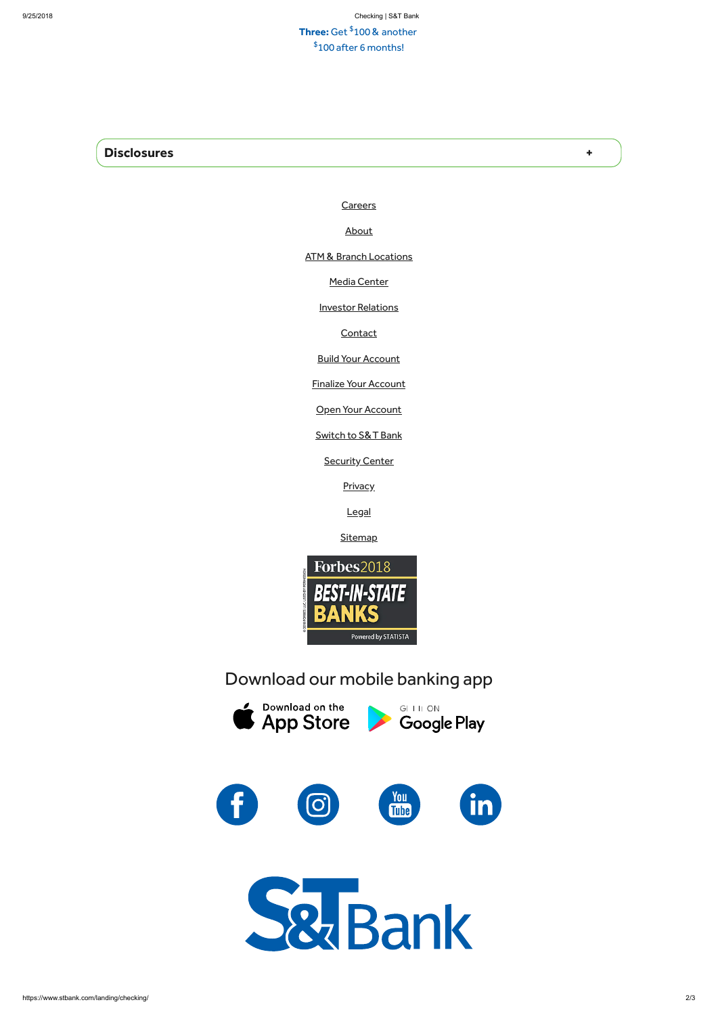#### **Three:** Get  $$100$  & another  $$100$  after 6 months!

#### Disclosures +

**[Careers](https://www.stbank.com/about/careers)** 

[About](https://www.stbank.com/about)

ATM & Branch [Locations](https://www.stbank.com/atm-branches)

Media [Center](https://www.stbank.com/about/media-center)

**Investor [Relations](http://www.stbancorp.com/)** 

**[Contact](https://www.stbank.com/customer-service/contact)** 

**Build Your [Account](https://www.stbank.com/build-your-account)** 

Finalize Your [Account](https://www.stbank.com/finalize-your-account)

**Open Your [Account](https://www.stbank.com/bank-with-us/open-your-account)** 

[Switch](https://stbank.clickswitch.com/) to S&T Bank

**[Security](https://www.stbank.com/security-center) Center** 

**[Privacy](https://www.stbank.com/privacy)** 

[Legal](https://www.stbank.com/legal)

**[Sitemap](https://www.stbank.com/sitemap)** 



Download our mobile banking app